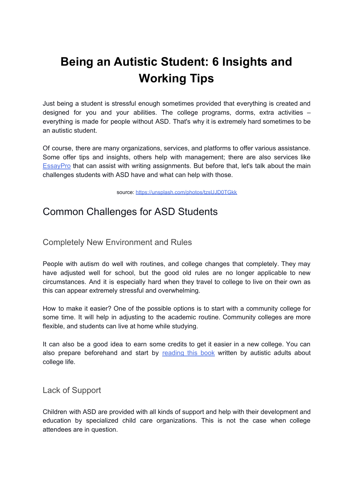# **Being an Autistic Student: 6 Insights and Working Tips**

Just being a student is stressful enough sometimes provided that everything is created and designed for you and your abilities. The college programs, dorms, extra activities – everything is made for people without ASD. That's why it is extremely hard sometimes to be an autistic student.

Of course, there are many organizations, services, and platforms to offer various assistance. Some offer tips and insights, others help with management; there are also services like **[EssayPro](https://essaypro.com/custom-essay.html)** that can assist with writing assignments. But before that, let's talk about the main challenges students with ASD have and what can help with those.

source: <https://unsplash.com/photos/tzsUJD0TGkk>

## Common Challenges for ASD Students

Completely New Environment and Rules

People with autism do well with routines, and college changes that completely. They may have adjusted well for school, but the good old rules are no longer applicable to new circumstances. And it is especially hard when they travel to college to live on their own as this can appear extremely stressful and overwhelming.

How to make it easier? One of the possible options is to start with a community college for some time. It will help in adjusting to the academic routine. Community colleges are more flexible, and students can live at home while studying.

It can also be a good idea to earn some credits to get it easier in a new college. You can also prepare beforehand and start by [reading](http://navigatingcollege.org/download.php) this book written by autistic adults about college life.

Lack of Support

Children with ASD are provided with all kinds of support and help with their development and education by specialized child care organizations. This is not the case when college attendees are in question.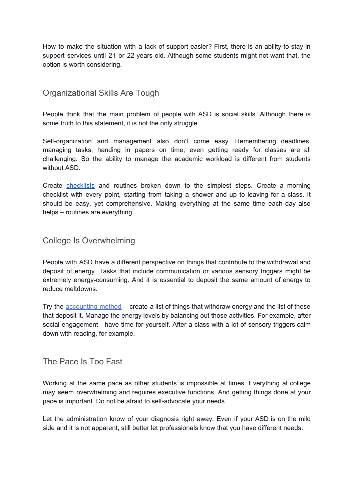How to make the situation with a lack of support easier? First, there is an ability to stay in support services until 21 or 22 years old. Although some students might not want that, the option is worth considering.

#### Organizational Skills Are Tough

People think that the main problem of people with ASD is social skills. Although there is some truth to this statement, it is not the only struggle.

Self-organization and management also don't come easy. Remembering deadlines, managing tasks, handing in papers on time, even getting ready for classes are all challenging. So the ability to manage the academic workload is different from students without ASD.

Create [checklists](https://smallbusiness.chron.com/planning-important-74858.html) and routines broken down to the simplest steps. Create a morning checklist with every point, starting from taking a shower and up to leaving for a class. It should be easy, yet comprehensive. Making everything at the same time each day also helps – routines are everything.

#### College Is Overwhelming

People with ASD have a different perspective on things that contribute to the withdrawal and deposit of energy. Tasks that include communication or various sensory triggers might be extremely energy-consuming. And it is essential to deposit the same amount of energy to reduce meltdowns.

Try the [accounting](https://www.hotdoc.com.au/practices/blog/tony-attwood/) method – create a list of things that withdraw energy and the list of those that deposit it. Manage the energy levels by balancing out those activities. For example, after social engagement - have time for yourself. After a class with a lot of sensory triggers calm down with reading, for example.

#### The Pace Is Too Fast

Working at the same pace as other students is impossible at times. Everything at college may seem overwhelming and requires executive functions. And getting things done at your pace is important. Do not be afraid to self-advocate your needs.

Let the administration know of your diagnosis right away. Even if your ASD is on the mild side and it is not apparent, still better let professionals know that you have different needs.